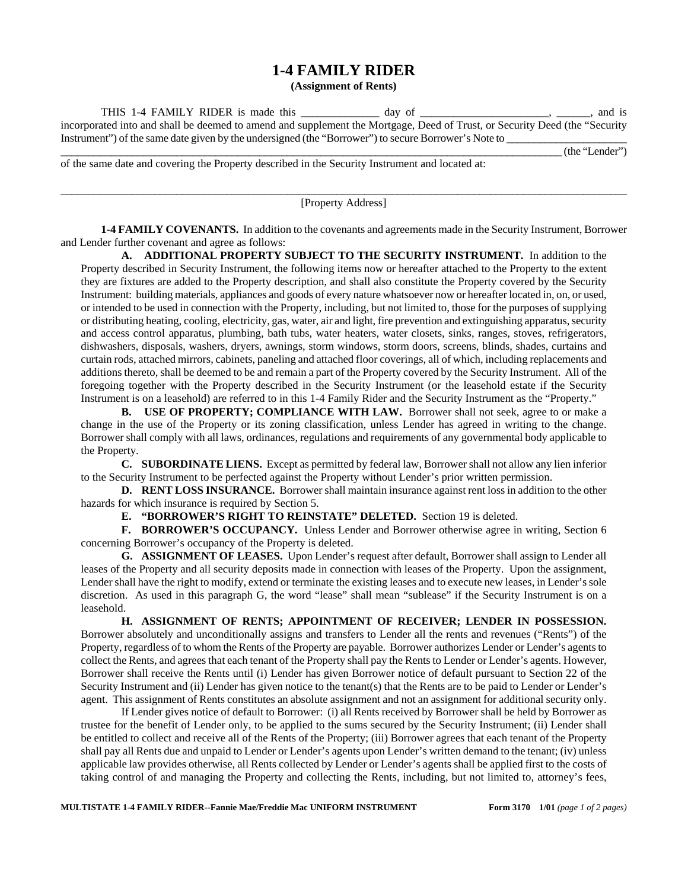## **1-4 FAMILY RIDER**

**(Assignment of Rents)** 

| THIS 1-4 FAMILY RIDER is made this                                                                                         | day of | and is         |
|----------------------------------------------------------------------------------------------------------------------------|--------|----------------|
| incorporated into and shall be deemed to amend and supplement the Mortgage, Deed of Trust, or Security Deed (the "Security |        |                |
| Instrument" of the same date given by the undersigned (the "Borrower") to secure Borrower's Note to                        |        |                |
|                                                                                                                            |        | (the "Lender") |

of the same date and covering the Property described in the Security Instrument and located at:

 $\_$  ,  $\_$  ,  $\_$  ,  $\_$  ,  $\_$  ,  $\_$  ,  $\_$  ,  $\_$  ,  $\_$  ,  $\_$  ,  $\_$  ,  $\_$  ,  $\_$  ,  $\_$  ,  $\_$  ,  $\_$  ,  $\_$  ,  $\_$  ,  $\_$  ,  $\_$  ,  $\_$  ,  $\_$  ,  $\_$  ,  $\_$  ,  $\_$  ,  $\_$  ,  $\_$  ,  $\_$  ,  $\_$  ,  $\_$  ,  $\_$  ,  $\_$  ,  $\_$  ,  $\_$  ,  $\_$  ,  $\_$  ,  $\_$  , [Property Address]

**1-4 FAMILY COVENANTS.** In addition to the covenants and agreements made in the Security Instrument, Borrower and Lender further covenant and agree as follows:

**A. ADDITIONAL PROPERTY SUBJECT TO THE SECURITY INSTRUMENT.** In addition to the Property described in Security Instrument, the following items now or hereafter attached to the Property to the extent they are fixtures are added to the Property description, and shall also constitute the Property covered by the Security Instrument: building materials, appliances and goods of every nature whatsoever now or hereafter located in, on, or used, or intended to be used in connection with the Property, including, but not limited to, those for the purposes of supplying or distributing heating, cooling, electricity, gas, water, air and light, fire prevention and extinguishing apparatus, security and access control apparatus, plumbing, bath tubs, water heaters, water closets, sinks, ranges, stoves, refrigerators, dishwashers, disposals, washers, dryers, awnings, storm windows, storm doors, screens, blinds, shades, curtains and curtain rods, attached mirrors, cabinets, paneling and attached floor coverings, all of which, including replacements and additions thereto, shall be deemed to be and remain a part of the Property covered by the Security Instrument. All of the foregoing together with the Property described in the Security Instrument (or the leasehold estate if the Security Instrument is on a leasehold) are referred to in this 1-4 Family Rider and the Security Instrument as the "Property."

**B. USE OF PROPERTY; COMPLIANCE WITH LAW.** Borrower shall not seek, agree to or make a change in the use of the Property or its zoning classification, unless Lender has agreed in writing to the change. Borrower shall comply with all laws, ordinances, regulations and requirements of any governmental body applicable to the Property.

**C. SUBORDINATE LIENS.** Except as permitted by federal law, Borrower shall not allow any lien inferior to the Security Instrument to be perfected against the Property without Lender's prior written permission.

**D. RENT LOSS INSURANCE.** Borrower shall maintain insurance against rent loss in addition to the other hazards for which insurance is required by Section 5.

**E. "BORROWER'S RIGHT TO REINSTATE" DELETED.** Section 19 is deleted.

**F. BORROWER'S OCCUPANCY.** Unless Lender and Borrower otherwise agree in writing, Section 6 concerning Borrower's occupancy of the Property is deleted.

**G. ASSIGNMENT OF LEASES.** Upon Lender's request after default, Borrower shall assign to Lender all leases of the Property and all security deposits made in connection with leases of the Property. Upon the assignment, Lender shall have the right to modify, extend or terminate the existing leases and to execute new leases, in Lender's sole discretion. As used in this paragraph G, the word "lease" shall mean "sublease" if the Security Instrument is on a leasehold.

**H. ASSIGNMENT OF RENTS; APPOINTMENT OF RECEIVER; LENDER IN POSSESSION.** Borrower absolutely and unconditionally assigns and transfers to Lender all the rents and revenues ("Rents") of the Property, regardless of to whom the Rents of the Property are payable. Borrower authorizes Lender or Lender's agents to collect the Rents, and agrees that each tenant of the Property shall pay the Rents to Lender or Lender's agents. However, Borrower shall receive the Rents until (i) Lender has given Borrower notice of default pursuant to Section 22 of the Security Instrument and (ii) Lender has given notice to the tenant(s) that the Rents are to be paid to Lender or Lender's agent. This assignment of Rents constitutes an absolute assignment and not an assignment for additional security only.

If Lender gives notice of default to Borrower: (i) all Rents received by Borrower shall be held by Borrower as trustee for the benefit of Lender only, to be applied to the sums secured by the Security Instrument; (ii) Lender shall be entitled to collect and receive all of the Rents of the Property; (iii) Borrower agrees that each tenant of the Property shall pay all Rents due and unpaid to Lender or Lender's agents upon Lender's written demand to the tenant; (iv) unless applicable law provides otherwise, all Rents collected by Lender or Lender's agents shall be applied first to the costs of taking control of and managing the Property and collecting the Rents, including, but not limited to, attorney's fees,